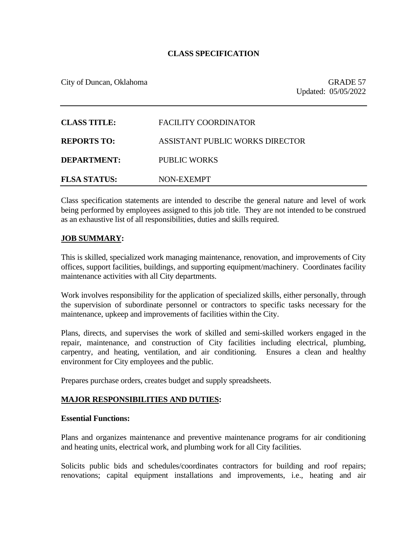# **CLASS SPECIFICATION**

City of Duncan, Oklahoma GRADE 57

| <b>CLASS TITLE:</b> | FACILITY COORDINATOR            |
|---------------------|---------------------------------|
| <b>REPORTS TO:</b>  | ASSISTANT PUBLIC WORKS DIRECTOR |
| <b>DEPARTMENT:</b>  | PUBLIC WORKS                    |
| <b>FLSA STATUS:</b> | NON-EXEMPT                      |

Class specification statements are intended to describe the general nature and level of work being performed by employees assigned to this job title. They are not intended to be construed as an exhaustive list of all responsibilities, duties and skills required.

### **JOB SUMMARY:**

This is skilled, specialized work managing maintenance, renovation, and improvements of City offices, support facilities, buildings, and supporting equipment/machinery. Coordinates facility maintenance activities with all City departments.

Work involves responsibility for the application of specialized skills, either personally, through the supervision of subordinate personnel or contractors to specific tasks necessary for the maintenance, upkeep and improvements of facilities within the City.

Plans, directs, and supervises the work of skilled and semi-skilled workers engaged in the repair, maintenance, and construction of City facilities including electrical, plumbing, carpentry, and heating, ventilation, and air conditioning. Ensures a clean and healthy environment for City employees and the public.

Prepares purchase orders, creates budget and supply spreadsheets.

# **MAJOR RESPONSIBILITIES AND DUTIES:**

#### **Essential Functions:**

Plans and organizes maintenance and preventive maintenance programs for air conditioning and heating units, electrical work, and plumbing work for all City facilities.

Solicits public bids and schedules/coordinates contractors for building and roof repairs; renovations; capital equipment installations and improvements, i.e., heating and air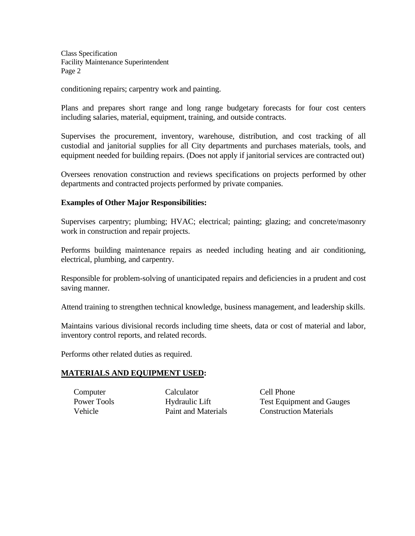conditioning repairs; carpentry work and painting.

Plans and prepares short range and long range budgetary forecasts for four cost centers including salaries, material, equipment, training, and outside contracts.

Supervises the procurement, inventory, warehouse, distribution, and cost tracking of all custodial and janitorial supplies for all City departments and purchases materials, tools, and equipment needed for building repairs. (Does not apply if janitorial services are contracted out)

Oversees renovation construction and reviews specifications on projects performed by other departments and contracted projects performed by private companies.

# **Examples of Other Major Responsibilities:**

Supervises carpentry; plumbing; HVAC; electrical; painting; glazing; and concrete/masonry work in construction and repair projects.

Performs building maintenance repairs as needed including heating and air conditioning, electrical, plumbing, and carpentry.

Responsible for problem-solving of unanticipated repairs and deficiencies in a prudent and cost saving manner.

Attend training to strengthen technical knowledge, business management, and leadership skills.

Maintains various divisional records including time sheets, data or cost of material and labor, inventory control reports, and related records.

Performs other related duties as required.

# **MATERIALS AND EQUIPMENT USED:**

Computer Calculator Cell Phone

Power Tools Hydraulic Lift Test Equipment and Gauges Vehicle Paint and Materials Construction Materials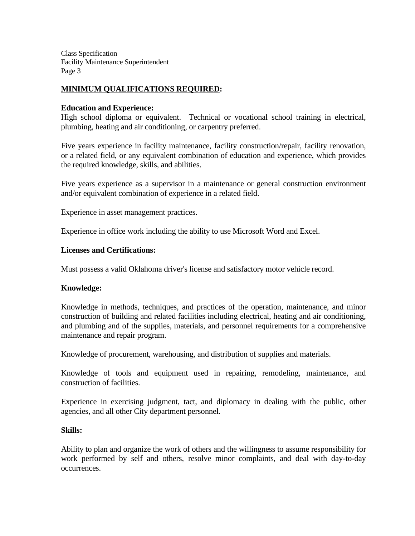# **MINIMUM QUALIFICATIONS REQUIRED:**

### **Education and Experience:**

High school diploma or equivalent. Technical or vocational school training in electrical, plumbing, heating and air conditioning, or carpentry preferred.

Five years experience in facility maintenance, facility construction/repair, facility renovation, or a related field, or any equivalent combination of education and experience, which provides the required knowledge, skills, and abilities.

Five years experience as a supervisor in a maintenance or general construction environment and/or equivalent combination of experience in a related field.

Experience in asset management practices.

Experience in office work including the ability to use Microsoft Word and Excel.

### **Licenses and Certifications:**

Must possess a valid Oklahoma driver's license and satisfactory motor vehicle record.

# **Knowledge:**

Knowledge in methods, techniques, and practices of the operation, maintenance, and minor construction of building and related facilities including electrical, heating and air conditioning, and plumbing and of the supplies, materials, and personnel requirements for a comprehensive maintenance and repair program.

Knowledge of procurement, warehousing, and distribution of supplies and materials.

Knowledge of tools and equipment used in repairing, remodeling, maintenance, and construction of facilities.

Experience in exercising judgment, tact, and diplomacy in dealing with the public, other agencies, and all other City department personnel.

#### **Skills:**

Ability to plan and organize the work of others and the willingness to assume responsibility for work performed by self and others, resolve minor complaints, and deal with day-to-day occurrences.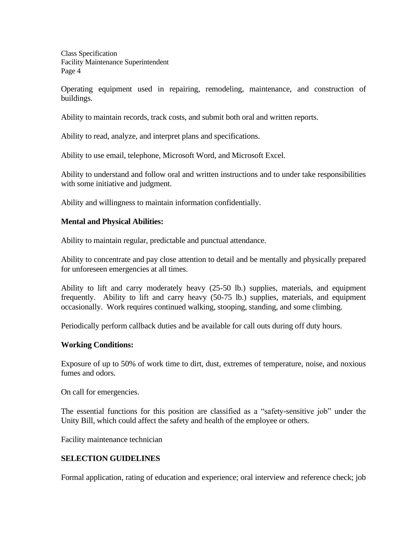Operating equipment used in repairing, remodeling, maintenance, and construction of buildings.

Ability to maintain records, track costs, and submit both oral and written reports.

Ability to read, analyze, and interpret plans and specifications.

Ability to use email, telephone, Microsoft Word, and Microsoft Excel.

Ability to understand and follow oral and written instructions and to under take responsibilities with some initiative and judgment.

Ability and willingness to maintain information confidentially.

# **Mental and Physical Abilities:**

Ability to maintain regular, predictable and punctual attendance.

Ability to concentrate and pay close attention to detail and be mentally and physically prepared for unforeseen emergencies at all times.

Ability to lift and carry moderately heavy (25-50 lb.) supplies, materials, and equipment frequently. Ability to lift and carry heavy (50-75 lb.) supplies, materials, and equipment occasionally. Work requires continued walking, stooping, standing, and some climbing.

Periodically perform callback duties and be available for call outs during off duty hours.

#### **Working Conditions:**

Exposure of up to 50% of work time to dirt, dust, extremes of temperature, noise, and noxious fumes and odors.

On call for emergencies.

The essential functions for this position are classified as a "safety-sensitive job" under the Unity Bill, which could affect the safety and health of the employee or others.

Facility maintenance technician

# **SELECTION GUIDELINES**

Formal application, rating of education and experience; oral interview and reference check; job